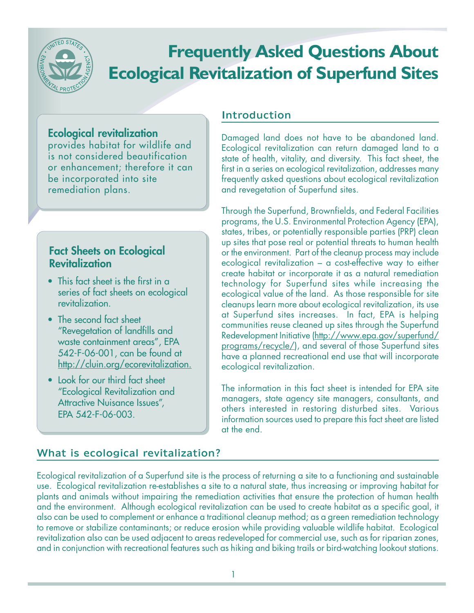

# **Frequently Asked Questions About Ecological Revitalization of Superfund Sites**

## **Ecological revitalization**

provides habitat for wildlife and is not considered beautification or enhancement; therefore it can be incorporated into site remediation plans.

# **Fact Sheets on Ecological Revitalization**

- This fact sheet is the first in a series of fact sheets on ecological revitalization.
- The second fact sheet "Revegetation of landfills and waste containment areas", EPA 542-F-06-001, can be found at [http://cluin.org/ecorevitalization.](http://cluin.org/ecorevitalization)
- Look for our third fact sheet "Ecological Revitalization and Attractive Nuisance Issues". EPA 542-F-06-003.

## Introduction

Damaged land does not have to be abandoned land. Ecological revitalization can return damaged land to a state of health, vitality, and diversity. This fact sheet, the first in a series on ecological revitalization, addresses many frequently asked questions about ecological revitalization and revegetation of Superfund sites.

Through the Superfund, Brownfields, and Federal Facilities programs, the U.S. Environmental Protection Agency (EPA), states, tribes, or potentially responsible parties (PRP) clean up sites that pose real or potential threats to human health or the environment. Part of the cleanup process may include ecological revitalization – a cost-effective way to either create habitat or incorporate it as a natural remediation technology for Superfund sites while increasing the ecological value of the land. As those responsible for site cleanups learn more about ecological revitalization, its use at Superfund sites increases. In fact, EPA is helping communities reuse cleaned up sites through the Superfund Redevelopment Initiative (http://www.epa.gov/superfund/ programs/recycle/), and several of those Superfund sites have a planned recreational end use that will incorporate ecological revitalization.

The information in this fact sheet is intended for EPA site managers, state agency site managers, consultants, and others interested in restoring disturbed sites. Various information sources used to prepare this fact sheet are listed at the end.

# What is ecological revitalization?

Ecological revitalization of a Superfund site is the process of returning a site to a functioning and sustainable use. Ecological revitalization re-establishes a site to a natural state, thus increasing or improving habitat for plants and animals without impairing the remediation activities that ensure the protection of human health and the environment. Although ecological revitalization can be used to create habitat as a specific goal, it also can be used to complement or enhance a traditional cleanup method; as a green remediation technology to remove or stabilize contaminants; or reduce erosion while providing valuable wildlife habitat. Ecological revitalization also can be used adjacent to areas redeveloped for commercial use, such as for riparian zones, and in conjunction with recreational features such as hiking and biking trails or bird-watching lookout stations.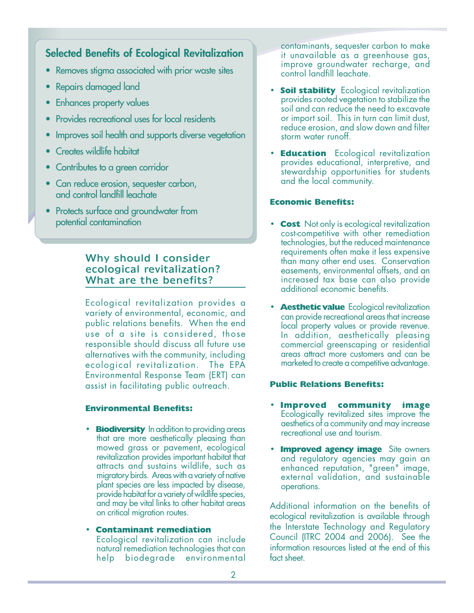## **Selected Benefits of Ecological Revitalization**

- Removes stigma associated with prior waste sites
- Repairs damaged land
- Enhances property values
- Provides recreational uses for local residents
- Improves soil health and supports diverse vegetation
- Creates wildlife habitat
- Contributes to a green corridor
- Can reduce erosion, sequester carbon, and control landfill leachate
- Protects surface and groundwater from potential contamination

#### Why should I consider ecological revitalization? What are the benefits?

Ecological revitalization provides a variety of environmental, economic, and public relations benefits. When the end use of a site is considered, those responsible should discuss all future use alternatives with the community, including ecological revitalization. The EPA Environmental Response Team (ERT) can assist in facilitating public outreach.

#### **Environmental Benefits:**

**• Biodiversity** In addition to providing areas that are more aesthetically pleasing than mowed grass or pavement, ecological revitalization provides important habitat that attracts and sustains wildlife, such as migratory birds. Areas with a variety of native plant species are less impacted by disease, provide habitat for a variety of wildlife species, and may be vital links to other habitat areas on critical migration routes.

#### **Contaminant remediation**

Ecological revitalization can include natural remediation technologies that can help biodegrade environmental contaminants, sequester carbon to make it unavailable as a greenhouse gas, improve groundwater recharge, and control landfill leachate.

- **Soil stability** Ecological revitalization provides rooted vegetation to stabilize the soil and can reduce the need to excavate or import soil. This in turn can limit dust, reduce erosion, and slow down and filter storm water runoff.
- **Education** Ecological revitalization provides educational, interpretive, and stewardship opportunities for students and the local community.

#### **Economic Benefits:**

- **Cost** Not only is ecological revitalization cost-competitive with other remediation technologies, but the reduced maintenance requirements often make it less expensive than many other end uses. Conservation easements, environmental offsets, and an increased tax base can also provide additional economic benefits.
- **Aesthetic value** Ecological revitalization can provide recreational areas that increase local property values or provide revenue. In addition, aesthetically pleasing commercial greenscaping or residential areas attract more customers and can be marketed to create a competitive advantage.

#### **Public Relations Benefits:**

- **Improved community image** Ecologically revitalized sites improve the aesthetics of a community and may increase recreational use and tourism.
- **Improved agency image** Site owners and regulatory agencies may gain an enhanced reputation, "green" image, external validation, and sustainable operations.

Additional information on the benefits of ecological revitalization is available through the Interstate Technology and Regulatory Council (ITRC 2004 and 2006). See the information resources listed at the end of this fact sheet.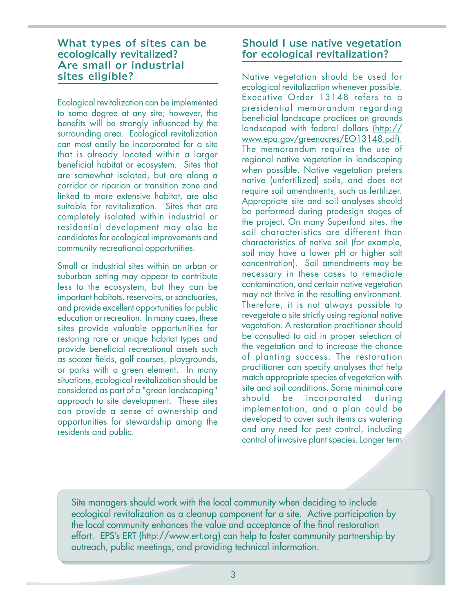#### What types of sites can be ecologically revitalized? Are small or industrial sites eligible?

Ecological revitalization can be implemented to some degree at any site; however, the benefits will be strongly influenced by the surrounding area. Ecological revitalization can most easily be incorporated for a site that is already located within a larger beneficial habitat or ecosystem. Sites that are somewhat isolated, but are along a corridor or riparian or transition zone and linked to more extensive habitat, are also suitable for revitalization. Sites that are completely isolated within industrial or residential development may also be candidates for ecological improvements and community recreational opportunities.

Small or industrial sites within an urban or suburban setting may appear to contribute less to the ecosystem, but they can be important habitats, reservoirs, or sanctuaries, and provide excellent opportunities for public education or recreation. In many cases, these sites provide valuable opportunities for restoring rare or unique habitat types and provide beneficial recreational assets such as soccer fields, golf courses, playgrounds, or parks with a green element. In many situations, ecological revitalization should be considered as part of a "green landscaping" approach to site development. These sites can provide a sense of ownership and opportunities for stewardship among the residents and public.

## Should I use native vegetation for ecological revitalization?

Native vegetation should be used for ecological revitalization whenever possible. Executive Order 13148 refers to a presidential memorandum regarding beneficial landscape practices on grounds landscaped with federal dollars ([http://](http://www.epa.gov/greenacres/EO13148.pdf)  [www.epa.gov/greenacres/EO13148.pdf\).](http://www.epa.gov/greenacres/EO13148.pdf)  The memorandum requires the use of regional native vegetation in landscaping when possible. Native vegetation prefers native (unfertilized) soils, and does not require soil amendments, such as fertilizer. Appropriate site and soil analyses should be performed during predesign stages of the project. On many Superfund sites, the soil characteristics are different than characteristics of native soil (for example, soil may have a lower pH or higher salt concentration). Soil amendments may be necessary in these cases to remediate contamination, and certain native vegetation may not thrive in the resulting environment. Therefore, it is not always possible to revegetate a site strictly using regional native vegetation. A restoration practitioner should be consulted to aid in proper selection of the vegetation and to increase the chance of planting success. The restoration practitioner can specify analyses that help match appropriate species of vegetation with site and soil conditions. Some minimal care should be incorporated during implementation, and a plan could be developed to cover such items as watering and any need for pest control, including control of invasive plant species. Longer term

Site managers should work with the local community when deciding to include ecological revitalization as a cleanup component for a site. Active participation by the local community enhances the value and acceptance of the final restoration effort. EPS's ERT [\(http://www.ert.org\)](http://www.ert.org) can help to foster community partnership by outreach, public meetings, and providing technical information.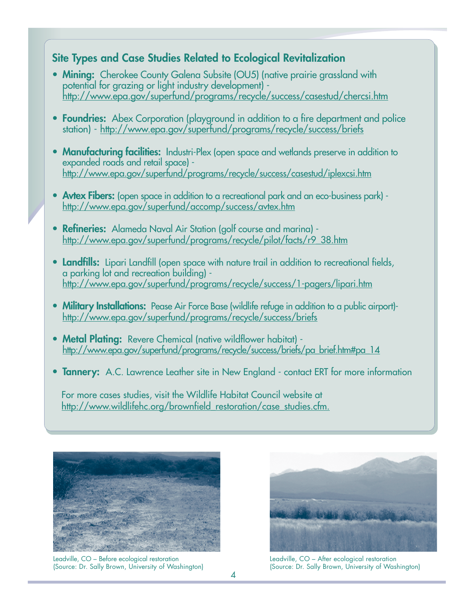## **Site Types and Case Studies Related to Ecological Revitalization**

- **Mining:** Cherokee County Galena Subsite (OU5) (native prairie grassland with potential for grazing or light industry development) http://[www.epa.gov/superfund/programs/recycle/success/casestud/chercsi.htm](http://www.epa.gov/superfund/programs/recycle/success/casestud/chercsi.htm)
- **Foundries:** Abex Corporation (playground in addition to a fire department and police station) - <http://www.epa.gov/superfund/programs/recycle/success/briefs>
- **Manufacturing facilities:** Industri-Plex (open space and wetlands preserve in addition to expanded roads and retail space) http:/[/www.epa.gov/superfund/programs/recycle/success/casestud/iplexcsi.htm](http://www.epa.gov/superfund/programs/recycle/success/casestud/iplexcsi.htm)
- **Avtex Fibers:** (open space in addition to a recreational park and an eco-business park) http:/[/www.epa.gov/superfund/accomp/success/avtex.htm](http://www.epa.gov/superfund/accomp/success/avtex.htm)
- **Refineries:** Alameda Naval Air Station (golf course and marina) http:/[/www.epa.gov/superfund/programs/recycle/pilot/facts/r9\\_38.htm](http://www.epa.gov/superfund/programs/recycle/pilot/facts/r9_38.htm)
- **Landfills:** Lipari Landfill (open space with nature trail in addition to recreational fields, a parking lot and recreation building) http:/[/www.epa.gov/superfund/programs/recycle/success/1-pagers/lipari.htm](http://www.epa.gov/superfund/programs/recycle/success/1-pagers/lipari.htm)
- **Military Installations:** Pease Air Force Base (wildlife refuge in addition to a public airport)http:/[/www.epa.gov/superfund/programs/recycle/success/briefs](http://www.epa.gov/superfund/programs/recycle/success/briefs)
- **Metal Plating:** Revere Chemical (native wildflower habitat) http:/[/www.epa.gov/superfund/programs/recycle/success/briefs/pa\\_brief.htm#pa\\_14](http://www.epa.gov/superfund/programs/recycle/success/briefs/pa_brief.htm#pa_14)
- **Tannery:** A.C. Lawrence Leather site in New England contact ERT for more information

For more cases studies, visit the Wildlife Habitat Council website at http://www.wildlifehc.org/brownfield\_restoration/case\_studies.cfm.



Leadville, CO – Before ecological restoration Leadville, CO – After ecological restoration



(Source: Dr. Sally Brown, University of Washington) (Source: Dr. Sally Brown, University of Washington)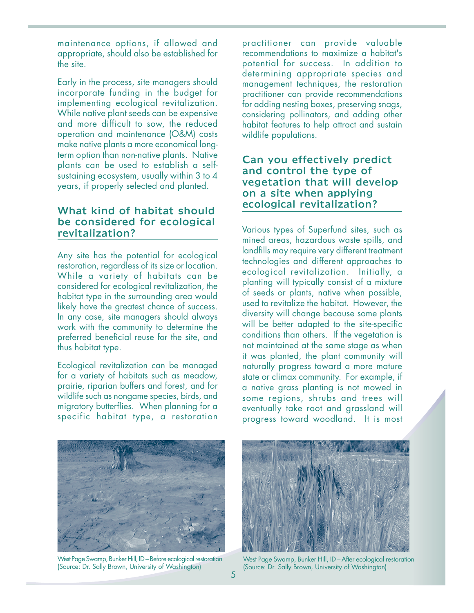maintenance options, if allowed and appropriate, should also be established for the site.

Early in the process, site managers should incorporate funding in the budget for implementing ecological revitalization. While native plant seeds can be expensive and more difficult to sow, the reduced operation and maintenance (O&M) costs make native plants a more economical longterm option than non-native plants. Native plants can be used to establish a selfsustaining ecosystem, usually within 3 to 4 years, if properly selected and planted.

#### What kind of habitat should be considered for ecological revitalization?

Any site has the potential for ecological restoration, regardless of its size or location. While a variety of habitats can be considered for ecological revitalization, the habitat type in the surrounding area would likely have the greatest chance of success. In any case, site managers should always work with the community to determine the preferred beneficial reuse for the site, and thus habitat type.

Ecological revitalization can be managed for a variety of habitats such as meadow, prairie, riparian buffers and forest, and for wildlife such as nongame species, birds, and migratory butterflies. When planning for a specific habitat type, a restoration

practitioner can provide valuable recommendations to maximize a habitat's potential for success. In addition to determining appropriate species and management techniques, the restoration practitioner can provide recommendations for adding nesting boxes, preserving snags, considering pollinators, and adding other habitat features to help attract and sustain wildlife populations.

#### Can you effectively predict and control the type of vegetation that will develop on a site when applying ecological revitalization?

Various types of Superfund sites, such as mined areas, hazardous waste spills, and landfills may require very different treatment technologies and different approaches to ecological revitalization. Initially, a planting will typically consist of a mixture of seeds or plants, native when possible, used to revitalize the habitat. However, the diversity will change because some plants will be better adapted to the site-specific conditions than others. If the vegetation is not maintained at the same stage as when it was planted, the plant community will naturally progress toward a more mature state or climax community. For example, if a native grass planting is not mowed in some regions, shrubs and trees will eventually take root and grassland will progress toward woodland. It is most



West Page Swamp, Bunker Hill, ID – Before ecological restoration (Source: Dr. Sally Brown, University of Washington)



West Page Swamp, Bunker Hill, ID – After ecological restoration (Source: Dr. Sally Brown, University of Washington)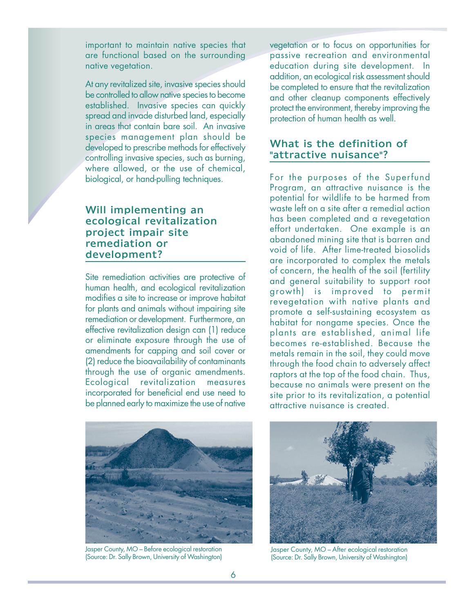important to maintain native species that are functional based on the surrounding native vegetation.

At any revitalized site, invasive species should be controlled to allow native species to become established. Invasive species can quickly spread and invade disturbed land, especially in areas that contain bare soil. An invasive species management plan should be developed to prescribe methods for effectively controlling invasive species, such as burning, where allowed, or the use of chemical, biological, or hand-pulling techniques.

## Will implementing an ecological revitalization project impair site remediation or development?

Site remediation activities are protective of human health, and ecological revitalization modifies a site to increase or improve habitat for plants and animals without impairing site remediation or development. Furthermore, an effective revitalization design can (1) reduce or eliminate exposure through the use of amendments for capping and soil cover or (2) reduce the bioavailability of contaminants through the use of organic amendments. Ecological revitalization measures incorporated for beneficial end use need to be planned early to maximize the use of native

vegetation or to focus on opportunities for passive recreation and environmental education during site development. In addition, an ecological risk assessment should be completed to ensure that the revitalization and other cleanup components effectively protect the environment, thereby improving the protection of human health as well.

#### What is the definition of "attractive nuisance"?

For the purposes of the Superfund Program, an attractive nuisance is the potential for wildlife to be harmed from waste left on a site after a remedial action has been completed and a revegetation effort undertaken. One example is an abandoned mining site that is barren and void of life. After lime-treated biosolids are incorporated to complex the metals of concern, the health of the soil (fertility and general suitability to support root growth) is improved to permit revegetation with native plants and promote a self-sustaining ecosystem as habitat for nongame species. Once the plants are established, animal life becomes re-established. Because the metals remain in the soil, they could move through the food chain to adversely affect raptors at the top of the food chain. Thus, because no animals were present on the site prior to its revitalization, a potential attractive nuisance is created.



Jasper County, MO – Before ecological restoration (Source: Dr. Sally Brown, University of Washington)



Jasper County, MO – After ecological restoration (Source: Dr. Sally Brown, University of Washington)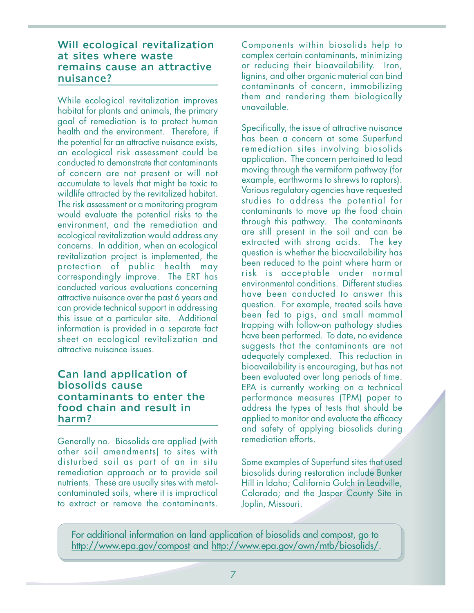#### Will ecological revitalization at sites where waste remains cause an attractive nuisance?

While ecological revitalization improves habitat for plants and animals, the primary goal of remediation is to protect human health and the environment. Therefore, if the potential for an attractive nuisance exists, an ecological risk assessment could be conducted to demonstrate that contaminants of concern are not present or will not accumulate to levels that might be toxic to wildlife attracted by the revitalized habitat. The risk assessment or a monitoring program would evaluate the potential risks to the environment, and the remediation and ecological revitalization would address any concerns. In addition, when an ecological revitalization project is implemented, the protection of public health may correspondingly improve. The ERT has conducted various evaluations concerning attractive nuisance over the past 6 years and can provide technical support in addressing this issue at a particular site. Additional information is provided in a separate fact sheet on ecological revitalization and attractive nuisance issues.

#### Can land application of biosolids cause contaminants to enter the food chain and result in harm?

Generally no. Biosolids are applied (with other soil amendments) to sites with disturbed soil as part of an in situ remediation approach or to provide soil nutrients. These are usually sites with metalcontaminated soils, where it is impractical to extract or remove the contaminants.

Components within biosolids help to complex certain contaminants, minimizing or reducing their bioavailability. Iron, lignins, and other organic material can bind contaminants of concern, immobilizing them and rendering them biologically unavailable.

Specifically, the issue of attractive nuisance has been a concern at some Superfund remediation sites involving biosolids application. The concern pertained to lead moving through the vermiform pathway (for example, earthworms to shrews to raptors). Various regulatory agencies have requested studies to address the potential for contaminants to move up the food chain through this pathway. The contaminants are still present in the soil and can be extracted with strong acids. The key question is whether the bioavailability has been reduced to the point where harm or risk is acceptable under normal environmental conditions. Different studies have been conducted to answer this question. For example, treated soils have been fed to pigs, and small mammal trapping with follow-on pathology studies have been performed. To date, no evidence suggests that the contaminants are not adequately complexed. This reduction in bioavailability is encouraging, but has not been evaluated over long periods of time. EPA is currently working on a technical performance measures (TPM) paper to address the types of tests that should be applied to monitor and evaluate the efficacy and safety of applying biosolids during remediation efforts.

biosolids during restoration include Bunker Hill in Idaho; California Gulch in Leadville, Colorado; and the Jasper County Site in Joplin, Missouri. Some examples of Superfund sites that used

For additional information on land application of biosolids and compost, go to [http://www.epa.gov/compost an](http://www.epa.gov/compost)d http://www.epa.gov/own/mtb/biosolids/.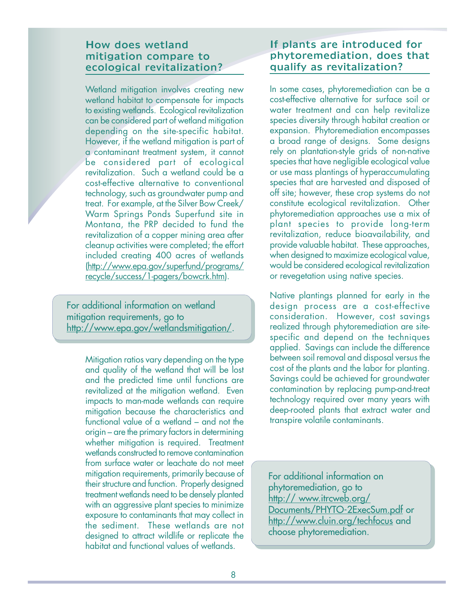#### How does wetland mitigation compare to ecological revitalization?

Wetland mitigation involves creating new wetland habitat to compensate for impacts to existing wetlands. Ecological revitalization can be considered part of wetland mitigation depending on the site-specific habitat. However, if the wetland mitigation is part of a contaminant treatment system, it cannot be considered part of ecological revitalization. Such a wetland could be a cost-effective alternative to conventional technology, such as groundwater pump and treat. For example, at the Silver Bow Creek/ Warm Springs Ponds Superfund site in Montana, the PRP decided to fund the revitalization of a copper mining area after cleanup activities were completed; the effort included creating 400 acres of wetlands (http://www.epa.gov/superfund/programs/ recycle/success/1-pagers/bowcrk.htm).

For additional information on wetland mitigation requirements, go to [http://www.epa.gov/wetlandsmitigation/.](http://www.epa.gov/wetlandsmitigation) 

> Mitigation ratios vary depending on the type and quality of the wetland that will be lost and the predicted time until functions are revitalized at the mitigation wetland. Even impacts to man-made wetlands can require mitigation because the characteristics and functional value of a wetland – and not the origin – are the primary factors in determining whether mitigation is required. Treatment wetlands constructed to remove contamination from surface water or leachate do not meet mitigation requirements, primarily because of their structure and function. Properly designed treatment wetlands need to be densely planted with an aggressive plant species to minimize exposure to contaminants that may collect in the sediment. These wetlands are not designed to attract wildlife or replicate the habitat and functional values of wetlands.

## If plants are introduced for phytoremediation, does that qualify as revitalization?

In some cases, phytoremediation can be a cost-effective alternative for surface soil or water treatment and can help revitalize species diversity through habitat creation or expansion. Phytoremediation encompasses a broad range of designs. Some designs rely on plantation-style grids of non-native species that have negligible ecological value or use mass plantings of hyperaccumulating species that are harvested and disposed of off site; however, these crop systems do not constitute ecological revitalization. Other phytoremediation approaches use a mix of plant species to provide long-term revitalization, reduce bioavailability, and provide valuable habitat. These approaches, when designed to maximize ecological value, would be considered ecological revitalization or revegetation using native species.

Native plantings planned for early in the design process are a cost-effective consideration. However, cost savings realized through phytoremediation are sitespecific and depend on the techniques applied. Savings can include the difference between soil removal and disposal versus the cost of the plants and the labor for planting. Savings could be achieved for groundwater contamination by replacing pump-and-treat technology required over many years with deep-rooted plants that extract water and transpire volatile contaminants.

For additional information on phytoremediation, go to [http:// www.itrcweb.org/](http://www.itrcweb.org)  Documents/PHYTO-2ExecSum.pdf or [http://www.cluin.org/techfocus an](http://www.cluin.org/techfocus)d choose phytoremediation.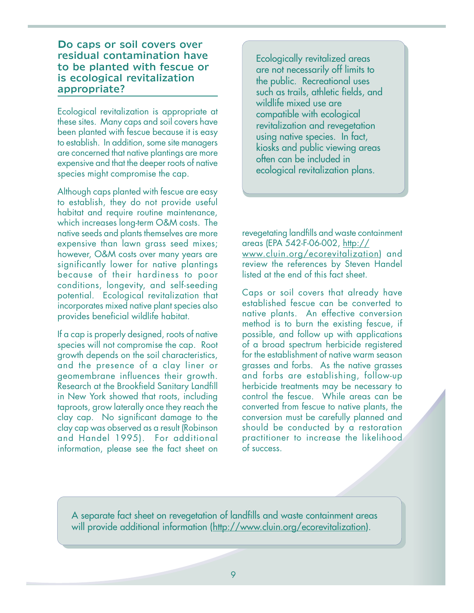#### Do caps or soil covers over residual contamination have to be planted with fescue or is ecological revitalization appropriate?

Ecological revitalization is appropriate at these sites. Many caps and soil covers have been planted with fescue because it is easy to establish. In addition, some site managers are concerned that native plantings are more expensive and that the deeper roots of native species might compromise the cap.

Although caps planted with fescue are easy to establish, they do not provide useful habitat and require routine maintenance, which increases long-term O&M costs. The native seeds and plants themselves are more expensive than lawn grass seed mixes; however, O&M costs over many years are significantly lower for native plantings because of their hardiness to poor conditions, longevity, and self-seeding potential. Ecological revitalization that incorporates mixed native plant species also provides beneficial wildlife habitat.

If a cap is properly designed, roots of native species will not compromise the cap. Root growth depends on the soil characteristics, and the presence of a clay liner or geomembrane influences their growth. Research at the Brookfield Sanitary Landfill in New York showed that roots, including taproots, grow laterally once they reach the clay cap. No significant damage to the clay cap was observed as a result (Robinson and Handel 1995). For additional information, please see the fact sheet on

Ecologically revitalized areas are not necessarily off limits to the public. Recreational uses such as trails, athletic fields, and wildlife mixed use are compatible with ecological revitalization and revegetation using native species. In fact, kiosks and public viewing areas often can be included in ecological revitalization plans.

revegetating landfills and waste containment areas (EPA 542-F-06-002, [http://](http://www.cluin.org/ecorevitalization) [www.cluin.org/ecorevitalization\)](http://www.cluin.org/ecorevitalization) and review the references by Steven Handel listed at the end of this fact sheet.

Caps or soil covers that already have established fescue can be converted to native plants. An effective conversion method is to burn the existing fescue, if possible, and follow up with applications of a broad spectrum herbicide registered for the establishment of native warm season grasses and forbs. As the native grasses and forbs are establishing, follow-up herbicide treatments may be necessary to control the fescue. While areas can be converted from fescue to native plants, the conversion must be carefully planned and should be conducted by a restoration practitioner to increase the likelihood of success.

A separate fact sheet on revegetation of landfills and waste containment areas will provide additional information [\(http://www.cluin.org/ecorevitalization](http://www.cluin.org/ecorevitalization)).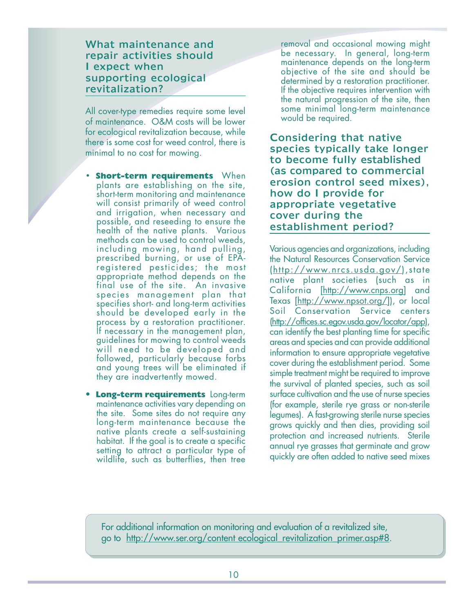#### What maintenance and repair activities should I expect when supporting ecological revitalization?

All cover-type remedies require some level of maintenance. O&M costs will be lower for ecological revitalization because, while there is some cost for weed control, there is minimal to no cost for mowing.

- **Short-term requirements** When plants are establishing on the site, short-term monitoring and maintenance will consist primarily of weed control and irrigation, when necessary and possible, and reseeding to ensure the health of the native plants. Various methods can be used to control weeds, including mowing, hand pulling, prescribed burning, or use of EPAregistered pesticides; the most appropriate method depends on the final use of the site. An invasive species management plan that specifies short- and long-term activities should be developed early in the process by a restoration practitioner. If necessary in the management plan, guidelines for mowing to control weeds will need to be developed and followed, particularly because forbs and young trees will be eliminated if they are inadvertently mowed.
- • **Long-term requirements** Long-term maintenance activities vary depending on the site. Some sites do not require any long-term maintenance because the native plants create a self-sustaining habitat. If the goal is to create a specific setting to attract a particular type of wildlife, such as butterflies, then tree

removal and occasional mowing might be necessary. In general, long-term maintenance depends on the long-term objective of the site and should be determined by a restoration practitioner. If the objective requires intervention with the natural progression of the site, then some minimal long-term maintenance would be required.

Considering that native species typically take longer to become fully established (as compared to commercial erosion control seed mixes), how do I provide for appropriate vegetative cover during the establishment period?

Various agencies and organizations, including the Natural Resources Conservation Service (http://www.nrcs.usda.gov/),state native plant societies (such as in California [http://www.cnps.org] and Texas [http://www.npsot.org/]), or local Soil Conservation Service centers (http://offices.sc.egov.usda.gov/locator/app), can identify the best planting time for specific areas and species and can provide additional information to ensure appropriate vegetative cover during the establishment period. Some simple treatment might be required to improve the survival of planted species, such as soil surface cultivation and the use of nurse species (for example, sterile rye grass or non-sterile legumes). A fast-growing sterile nurse species grows quickly and then dies, providing soil protection and increased nutrients. Sterile annual rye grasses that germinate and grow quickly are often added to native seed mixes

For additional information on monitoring and evaluation of a revitalized site, go to [http://www.ser.org/content ec](http://www.ser.org/content)ological\_revitalization\_primer.asp#8.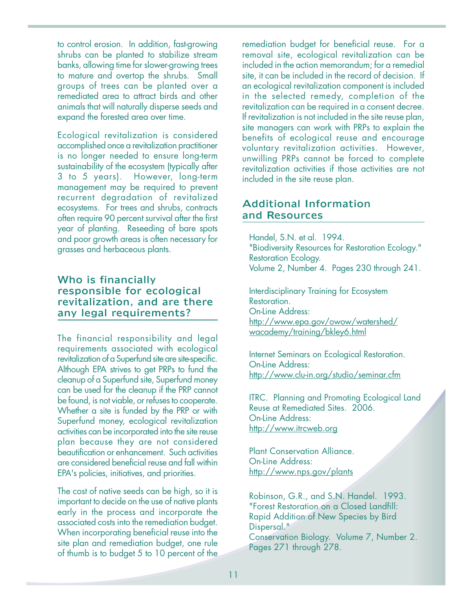to control erosion. In addition, fast-growing shrubs can be planted to stabilize stream banks, allowing time for slower-growing trees to mature and overtop the shrubs. Small groups of trees can be planted over a remediated area to attract birds and other animals that will naturally disperse seeds and expand the forested area over time.

Ecological revitalization is considered accomplished once a revitalization practitioner is no longer needed to ensure long-term sustainability of the ecosystem (typically after 3 to 5 years). However, long-term management may be required to prevent recurrent degradation of revitalized ecosystems. For trees and shrubs, contracts often require 90 percent survival after the first year of planting. Reseeding of bare spots and poor growth areas is often necessary for grasses and herbaceous plants.

#### Who is financially responsible for ecological revitalization, and are there any legal requirements?

The financial responsibility and legal requirements associated with ecological revitalization of a Superfund site are site-specific. Although EPA strives to get PRPs to fund the cleanup of a Superfund site, Superfund money can be used for the cleanup if the PRP cannot be found, is not viable, or refuses to cooperate. Whether a site is funded by the PRP or with Superfund money, ecological revitalization activities can be incorporated into the site reuse plan because they are not considered beautification or enhancement. Such activities are considered beneficial reuse and fall within EPA's policies, initiatives, and priorities.

The cost of native seeds can be high, so it is important to decide on the use of native plants early in the process and incorporate the associated costs into the remediation budget. When incorporating beneficial reuse into the site plan and remediation budget, one rule of thumb is to budget 5 to 10 percent of the

remediation budget for beneficial reuse. For a removal site, ecological revitalization can be included in the action memorandum; for a remedial site, it can be included in the record of decision. If an ecological revitalization component is included in the selected remedy, completion of the revitalization can be required in a consent decree. If revitalization is not included in the site reuse plan, site managers can work with PRPs to explain the benefits of ecological reuse and encourage voluntary revitalization activities. However, unwilling PRPs cannot be forced to complete revitalization activities if those activities are not included in the site reuse plan.

#### Additional Information and Resources

Handel, S.N. et al. 1994. "Biodiversity Resources for Restoration Ecology." Restoration Ecology. Volume 2, Number 4. Pages 230 through 241.

Interdisciplinary Training for Ecosystem Restoration. On-Line Address: http://www.epa.gov/owow/watershed/ wacademy/training/bkley6.html

Internet Seminars on Ecological Restoration. On-Line Address: http://www.clu-in.org/studio/seminar.cfm

ITRC. Planning and Promoting Ecological Land Reuse at Remediated Sites. 2006. On-Line Address: <http://www.itrcweb.org>

Plant Conservation Alliance. On-Line Address: <http://www.nps.gov/plants>

Robinson, G.R., and S.N. Handel. 1993. "Forest Restoration on a Closed Landfill: Rapid Addition of New Species by Bird Dispersal." Conservation Biology. Volume 7, Number 2. Pages 271 through 278.